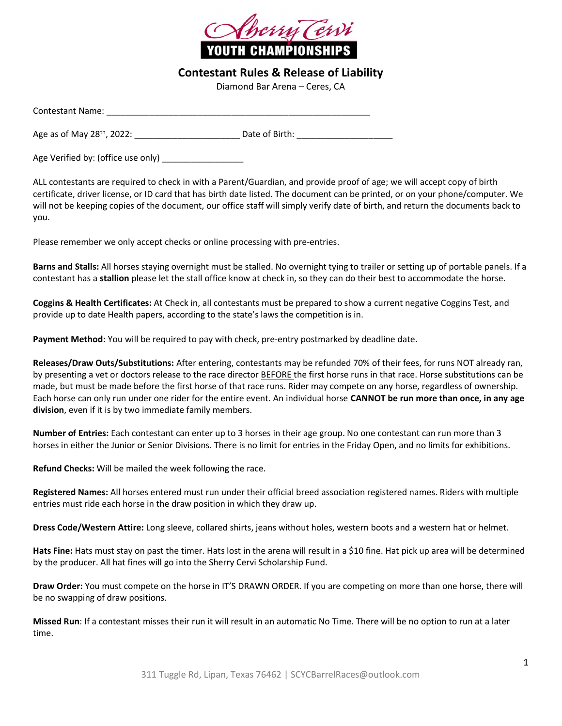

Contestant Rules & Release of Liability

Diamond Bar Arena – Ceres, CA

| <b>Contestant Name:</b> |  |
|-------------------------|--|
|                         |  |

Age as of May  $28^{th}$ ,  $2022$ :  $202^{th}$  Date of Birth:  $202^{th}$ 

Age Verified by: (office use only)

ALL contestants are required to check in with a Parent/Guardian, and provide proof of age; we will accept copy of birth certificate, driver license, or ID card that has birth date listed. The document can be printed, or on your phone/computer. We will not be keeping copies of the document, our office staff will simply verify date of birth, and return the documents back to you.

Please remember we only accept checks or online processing with pre-entries.

Barns and Stalls: All horses staying overnight must be stalled. No overnight tying to trailer or setting up of portable panels. If a contestant has a stallion please let the stall office know at check in, so they can do their best to accommodate the horse.

Coggins & Health Certificates: At Check in, all contestants must be prepared to show a current negative Coggins Test, and provide up to date Health papers, according to the state's laws the competition is in.

Payment Method: You will be required to pay with check, pre-entry postmarked by deadline date.

Releases/Draw Outs/Substitutions: After entering, contestants may be refunded 70% of their fees, for runs NOT already ran, by presenting a vet or doctors release to the race director BEFORE the first horse runs in that race. Horse substitutions can be made, but must be made before the first horse of that race runs. Rider may compete on any horse, regardless of ownership. Each horse can only run under one rider for the entire event. An individual horse CANNOT be run more than once, in any age division, even if it is by two immediate family members.

Number of Entries: Each contestant can enter up to 3 horses in their age group. No one contestant can run more than 3 horses in either the Junior or Senior Divisions. There is no limit for entries in the Friday Open, and no limits for exhibitions.

Refund Checks: Will be mailed the week following the race.

Registered Names: All horses entered must run under their official breed association registered names. Riders with multiple entries must ride each horse in the draw position in which they draw up.

Dress Code/Western Attire: Long sleeve, collared shirts, jeans without holes, western boots and a western hat or helmet.

Hats Fine: Hats must stay on past the timer. Hats lost in the arena will result in a \$10 fine. Hat pick up area will be determined by the producer. All hat fines will go into the Sherry Cervi Scholarship Fund.

Draw Order: You must compete on the horse in IT'S DRAWN ORDER. If you are competing on more than one horse, there will be no swapping of draw positions.

Missed Run: If a contestant misses their run it will result in an automatic No Time. There will be no option to run at a later time.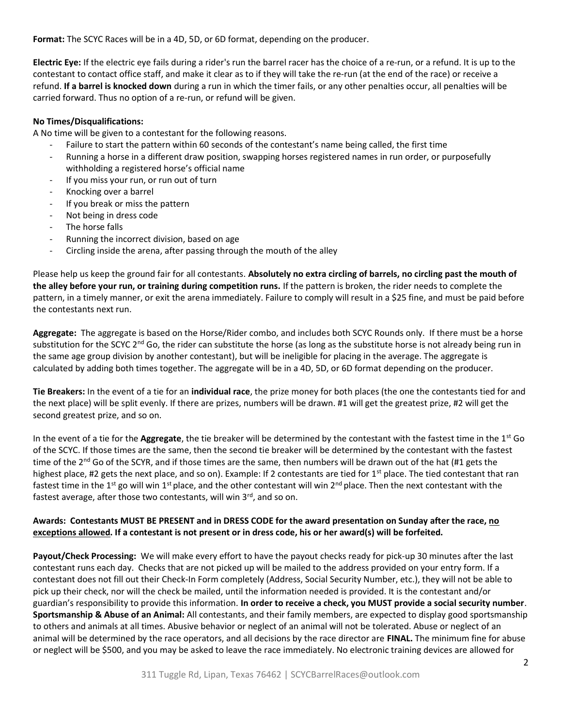Format: The SCYC Races will be in a 4D, 5D, or 6D format, depending on the producer.

Electric Eye: If the electric eye fails during a rider's run the barrel racer has the choice of a re-run, or a refund. It is up to the contestant to contact office staff, and make it clear as to if they will take the re-run (at the end of the race) or receive a refund. If a barrel is knocked down during a run in which the timer fails, or any other penalties occur, all penalties will be carried forward. Thus no option of a re-run, or refund will be given.

## No Times/Disqualifications:

A No time will be given to a contestant for the following reasons.

- Failure to start the pattern within 60 seconds of the contestant's name being called, the first time
- Running a horse in a different draw position, swapping horses registered names in run order, or purposefully withholding a registered horse's official name
- If you miss your run, or run out of turn
- Knocking over a barrel
- If you break or miss the pattern
- Not being in dress code
- The horse falls
- Running the incorrect division, based on age
- Circling inside the arena, after passing through the mouth of the alley

Please help us keep the ground fair for all contestants. Absolutely no extra circling of barrels, no circling past the mouth of the alley before your run, or training during competition runs. If the pattern is broken, the rider needs to complete the pattern, in a timely manner, or exit the arena immediately. Failure to comply will result in a \$25 fine, and must be paid before the contestants next run.

Aggregate: The aggregate is based on the Horse/Rider combo, and includes both SCYC Rounds only. If there must be a horse substitution for the SCYC 2<sup>nd</sup> Go, the rider can substitute the horse (as long as the substitute horse is not already being run in the same age group division by another contestant), but will be ineligible for placing in the average. The aggregate is calculated by adding both times together. The aggregate will be in a 4D, 5D, or 6D format depending on the producer.

Tie Breakers: In the event of a tie for an individual race, the prize money for both places (the one the contestants tied for and the next place) will be split evenly. If there are prizes, numbers will be drawn. #1 will get the greatest prize, #2 will get the second greatest prize, and so on.

In the event of a tie for the **Aggregate**, the tie breaker will be determined by the contestant with the fastest time in the  $1<sup>st</sup>$  Go of the SCYC. If those times are the same, then the second tie breaker will be determined by the contestant with the fastest time of the 2<sup>nd</sup> Go of the SCYR, and if those times are the same, then numbers will be drawn out of the hat (#1 gets the highest place, #2 gets the next place, and so on). Example: If 2 contestants are tied for 1<sup>st</sup> place. The tied contestant that ran fastest time in the 1<sup>st</sup> go will win 1<sup>st</sup> place, and the other contestant will win 2<sup>nd</sup> place. Then the next contestant with the fastest average, after those two contestants, will win 3rd, and so on.

## Awards: Contestants MUST BE PRESENT and in DRESS CODE for the award presentation on Sunday after the race, no exceptions allowed. If a contestant is not present or in dress code, his or her award(s) will be forfeited.

Payout/Check Processing: We will make every effort to have the payout checks ready for pick-up 30 minutes after the last contestant runs each day. Checks that are not picked up will be mailed to the address provided on your entry form. If a contestant does not fill out their Check-In Form completely (Address, Social Security Number, etc.), they will not be able to pick up their check, nor will the check be mailed, until the information needed is provided. It is the contestant and/or guardian's responsibility to provide this information. In order to receive a check, you MUST provide a social security number. Sportsmanship & Abuse of an Animal: All contestants, and their family members, are expected to display good sportsmanship to others and animals at all times. Abusive behavior or neglect of an animal will not be tolerated. Abuse or neglect of an animal will be determined by the race operators, and all decisions by the race director are FINAL. The minimum fine for abuse or neglect will be \$500, and you may be asked to leave the race immediately. No electronic training devices are allowed for